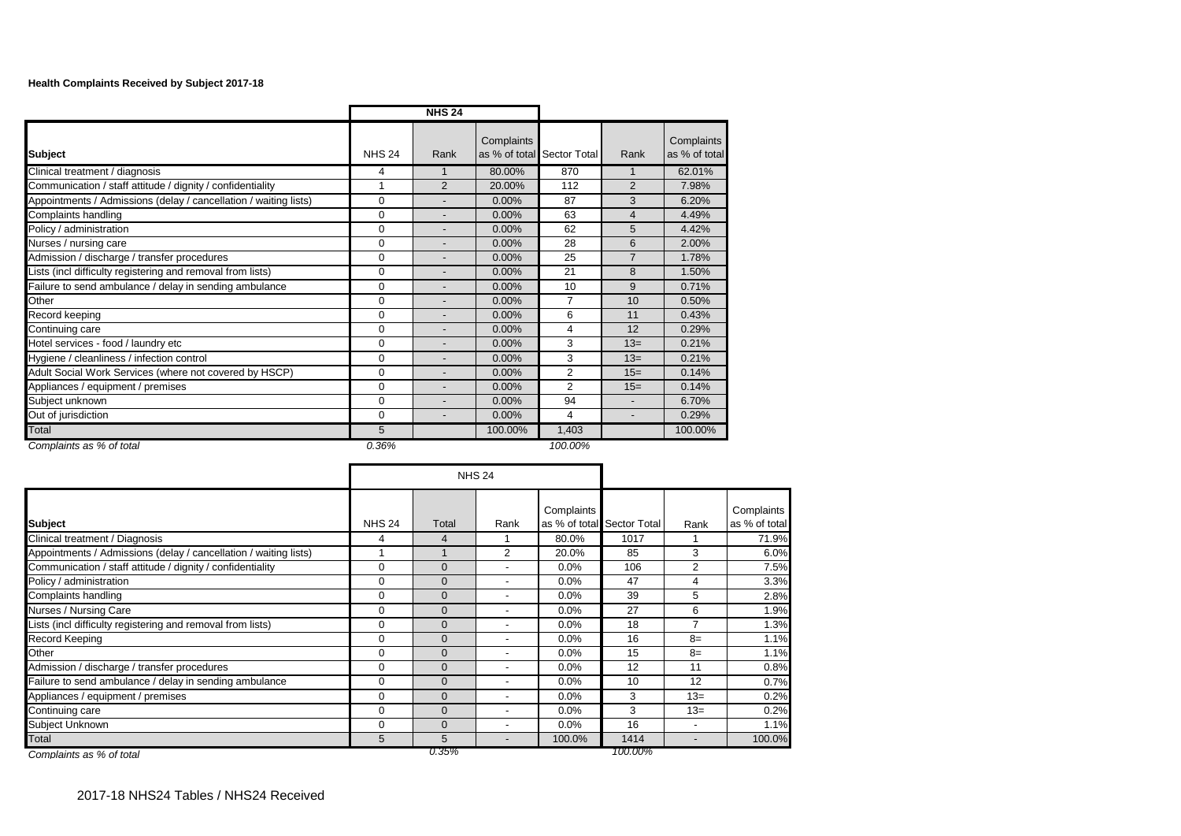## **Health Complaints Received by Subject 2017-18**

|                                                                  |               | <b>NHS 24</b>            |                             |                |                          |                             |
|------------------------------------------------------------------|---------------|--------------------------|-----------------------------|----------------|--------------------------|-----------------------------|
| <b>Subject</b>                                                   | <b>NHS 24</b> | Rank                     | Complaints<br>as % of total | Sector Total   | Rank                     | Complaints<br>as % of total |
| Clinical treatment / diagnosis                                   | 4             |                          | 80.00%                      | 870            |                          | 62.01%                      |
| Communication / staff attitude / dignity / confidentiality       | 1             | $\overline{2}$           | 20.00%                      | 112            | 2                        | 7.98%                       |
| Appointments / Admissions (delay / cancellation / waiting lists) | $\Omega$      | $\overline{\phantom{a}}$ | 0.00%                       | 87             | 3                        | 6.20%                       |
| Complaints handling                                              | $\Omega$      | $\blacksquare$           | $0.00\%$                    | 63             | $\overline{4}$           | 4.49%                       |
| Policy / administration                                          | $\Omega$      | $\overline{\phantom{a}}$ | 0.00%                       | 62             | 5                        | 4.42%                       |
| Nurses / nursing care                                            | $\Omega$      | $\blacksquare$           | 0.00%                       | 28             | 6                        | 2.00%                       |
| Admission / discharge / transfer procedures                      | $\Omega$      | $\overline{\phantom{0}}$ | 0.00%                       | 25             | $\overline{7}$           | 1.78%                       |
| Lists (incl difficulty registering and removal from lists)       | $\Omega$      | $\overline{\phantom{a}}$ | 0.00%                       | 21             | 8                        | 1.50%                       |
| Failure to send ambulance / delay in sending ambulance           | $\Omega$      | $\overline{\phantom{a}}$ | 0.00%                       | 10             | 9                        | 0.71%                       |
| Other                                                            | $\Omega$      | $\overline{\phantom{a}}$ | 0.00%                       | 7              | 10                       | 0.50%                       |
| Record keeping                                                   | $\Omega$      | $\overline{\phantom{0}}$ | 0.00%                       | 6              | 11                       | 0.43%                       |
| Continuing care                                                  | $\Omega$      | $\overline{\phantom{a}}$ | 0.00%                       | 4              | 12                       | 0.29%                       |
| Hotel services - food / laundry etc                              | $\mathbf 0$   |                          | 0.00%                       | 3              | $13=$                    | 0.21%                       |
| Hygiene / cleanliness / infection control                        | $\Omega$      | $\overline{\phantom{a}}$ | $0.00\%$                    | 3              | $13=$                    | 0.21%                       |
| Adult Social Work Services (where not covered by HSCP)           | $\Omega$      |                          | 0.00%                       | $\overline{2}$ | $15=$                    | 0.14%                       |
| Appliances / equipment / premises                                | $\Omega$      |                          | $0.00\%$                    | 2              | $15=$                    | 0.14%                       |
| Subject unknown                                                  | $\Omega$      |                          | 0.00%                       | 94             | $\overline{\phantom{0}}$ | 6.70%                       |
| Out of jurisdiction                                              | $\Omega$      |                          | 0.00%                       | 4              | -                        | 0.29%                       |
| Total                                                            | 5             |                          | 100.00%                     | 1,403          |                          | 100.00%                     |
| Complaints as % of total                                         | 0.36%         |                          |                             | 100.00%        |                          |                             |

**Subject** Rank Rank Research And Rank Research Rank Rank Rank Rank Rank Rank Rank Complaints as % of total Sector Total Rank **Complaints** as % of total Clinical treatment / Diagnosis 4 4 1 80.0% 1017 1 71.9% Appointments / Admissions (delay / cancellation / waiting lists) 1 1 1 2 20.0% 85 3 6.0% Communication / staff attitude / dignity / confidentiality 0 0 - 0.0% 106 2 7.5% Policy / administration **1.2.2.3 and 2.3.3 and 2.4.2.4.2.5 and 2.3.3 and 2.4.2.5 and 2.3.3 and 2.4.2.5 and 2.3.3%**  $\textsf{Complaints}$  handling  $\begin{array}{|c|c|c|c|c|c|}\hline \rule{0pt}{1ex}\rule{0pt}{1ex} \rule{0pt}{1ex} 0 & \rule{0pt}{1ex} 0 & \rule{0pt}{1ex} 0 & \rule{0pt}{1ex} 0.0\% & \rule{0pt}{1ex} 39 & \rule{0pt}{1ex} 5 & \rule{0pt}{1ex} 2.8\% \\\hline \end{array}$ Nurses / Nursing Care 20 0 0 0 0 0 0 0 0 0 0 0 1.9% 27 6 1.9% Lists (incl difficulty registering and removal from lists)  $0 \qquad 0 \qquad 0 \qquad 0$  1.3% 18 7 1.3% Record Keeping 0 0 - 0.0% 16 8= 1.1% Other 0 0 - 0.0% 15 8= 1.1% Admission / discharge / transfer procedures 1 0 0 0 0 0 0 0 0 0 0 0 12 11 0 0.8% Failure to send ambulance / delay in sending ambulance **0 0 0 0 cm**  $\cdot$  0.0% 10 12 0.7% Appliances / equipment / premises 0 0 0 0 0 0 0 0 0 0 0 13= 0.2% Continuing care 0 0 - 0.0% 3 13= 0.2% Subject Unknown 0 0 - 0.0% 16 - 1.1% Total 5 - 100.0% | 1414 | - 100.0% 100.0% | 100.0% | 15 | - 100.0% | 1414 | - 100.0% *Complaints as % of total 0.35% 100.00%* NHS 24